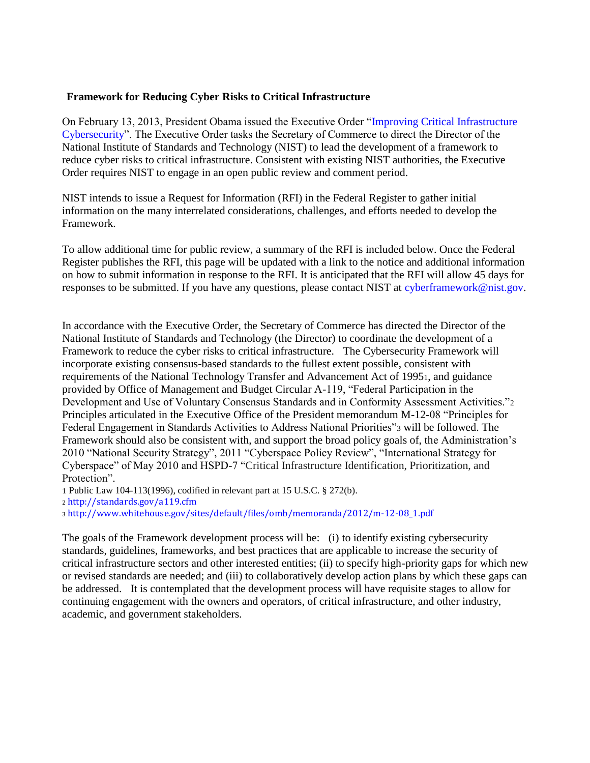### **Framework for Reducing Cyber Risks to Critical Infrastructure**

On February 13, 2013, President Obama issued the Executive Order ["Improving Critical Infrastructure](http://www.whitehouse.gov/the-press-office/2013/02/12/executive-order-improving-critical-infrastructure-cybersecurity)  [Cybersecurity"](http://www.whitehouse.gov/the-press-office/2013/02/12/executive-order-improving-critical-infrastructure-cybersecurity). The Executive Order tasks the Secretary of Commerce to direct the Director of the National Institute of Standards and Technology (NIST) to lead the development of a framework to reduce cyber risks to critical infrastructure. Consistent with existing NIST authorities, the Executive Order requires NIST to engage in an open public review and comment period.

NIST intends to issue a Request for Information (RFI) in the Federal Register to gather initial information on the many interrelated considerations, challenges, and efforts needed to develop the Framework.

To allow additional time for public review, a summary of the RFI is included below. Once the Federal Register publishes the RFI, this page will be updated with a link to the notice and additional information on how to submit information in response to the RFI. It is anticipated that the RFI will allow 45 days for responses to be submitted. If you have any questions, please contact NIST at [cyberframework@nist.gov.](mailto:cyberframework@nist.gov)

In accordance with the Executive Order, the Secretary of Commerce has directed the Director of the National Institute of Standards and Technology (the Director) to coordinate the development of a Framework to reduce the cyber risks to critical infrastructure. The Cybersecurity Framework will incorporate existing consensus-based standards to the fullest extent possible, consistent with requirements of the National Technology Transfer and Advancement Act of 19951, and guidance provided by Office of Management and Budget Circular A-119, "Federal Participation in the Development and Use of Voluntary Consensus Standards and in Conformity Assessment Activities."<sup>2</sup> Principles articulated in the Executive Office of the President memorandum M-12-08 "Principles for Federal Engagement in Standards Activities to Address National Priorities"<sup>3</sup> will be followed. The Framework should also be consistent with, and support the broad policy goals of, the Administration's 2010 "National Security Strategy", 2011 "Cyberspace Policy Review", "International Strategy for Cyberspace" of May 2010 and HSPD-7 "Critical Infrastructure Identification, Prioritization, and Protection".

1 Public Law 104-113(1996), codified in relevant part at 15 U.S.C. § 272(b).

<sup>2</sup> <http://standards.gov/a119.cfm>

<sup>3</sup> [http://www.whitehouse.gov/sites/default/files/omb/memoranda/2012/m-12-08\\_1.pdf](http://www.whitehouse.gov/sites/default/files/omb/memoranda/2012/m-12-08_1.pdf)

The goals of the Framework development process will be: (i) to identify existing cybersecurity standards, guidelines, frameworks, and best practices that are applicable to increase the security of critical infrastructure sectors and other interested entities; (ii) to specify high-priority gaps for which new or revised standards are needed; and (iii) to collaboratively develop action plans by which these gaps can be addressed. It is contemplated that the development process will have requisite stages to allow for continuing engagement with the owners and operators, of critical infrastructure, and other industry, academic, and government stakeholders.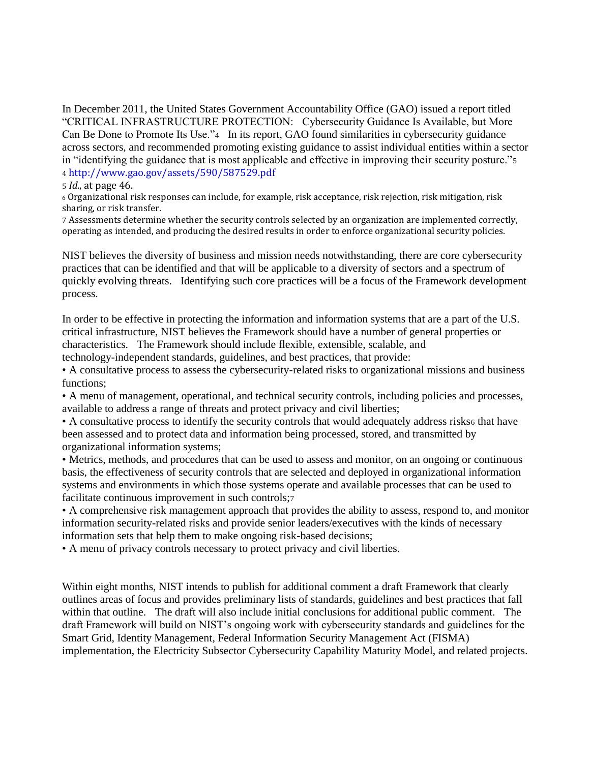In December 2011, the United States Government Accountability Office (GAO) issued a report titled "CRITICAL INFRASTRUCTURE PROTECTION: Cybersecurity Guidance Is Available, but More Can Be Done to Promote Its Use."4 In its report, GAO found similarities in cybersecurity guidance across sectors, and recommended promoting existing guidance to assist individual entities within a sector in "identifying the guidance that is most applicable and effective in improving their security posture."<sup>5</sup> 4 <http://www.gao.gov/assets/590/587529.pdf>

#### 5 *Id.*, at page 46.

<sup>6</sup> Organizational risk responses can include, for example, risk acceptance, risk rejection, risk mitigation, risk sharing, or risk transfer.

7 Assessments determine whether the security controls selected by an organization are implemented correctly, operating as intended, and producing the desired results in order to enforce organizational security policies.

NIST believes the diversity of business and mission needs notwithstanding, there are core cybersecurity practices that can be identified and that will be applicable to a diversity of sectors and a spectrum of quickly evolving threats. Identifying such core practices will be a focus of the Framework development process.

In order to be effective in protecting the information and information systems that are a part of the U.S. critical infrastructure, NIST believes the Framework should have a number of general properties or characteristics. The Framework should include flexible, extensible, scalable, and technology-independent standards, guidelines, and best practices, that provide:

• A consultative process to assess the cybersecurity-related risks to organizational missions and business functions;

• A menu of management, operational, and technical security controls, including policies and processes, available to address a range of threats and protect privacy and civil liberties;

• A consultative process to identify the security controls that would adequately address risks6 that have been assessed and to protect data and information being processed, stored, and transmitted by organizational information systems;

• Metrics, methods, and procedures that can be used to assess and monitor, on an ongoing or continuous basis, the effectiveness of security controls that are selected and deployed in organizational information systems and environments in which those systems operate and available processes that can be used to facilitate continuous improvement in such controls;<sup>7</sup>

• A comprehensive risk management approach that provides the ability to assess, respond to, and monitor information security-related risks and provide senior leaders/executives with the kinds of necessary information sets that help them to make ongoing risk-based decisions;

• A menu of privacy controls necessary to protect privacy and civil liberties.

Within eight months, NIST intends to publish for additional comment a draft Framework that clearly outlines areas of focus and provides preliminary lists of standards, guidelines and best practices that fall within that outline. The draft will also include initial conclusions for additional public comment. The draft Framework will build on NIST's ongoing work with cybersecurity standards and guidelines for the Smart Grid, Identity Management, Federal Information Security Management Act (FISMA) implementation, the Electricity Subsector Cybersecurity Capability Maturity Model, and related projects.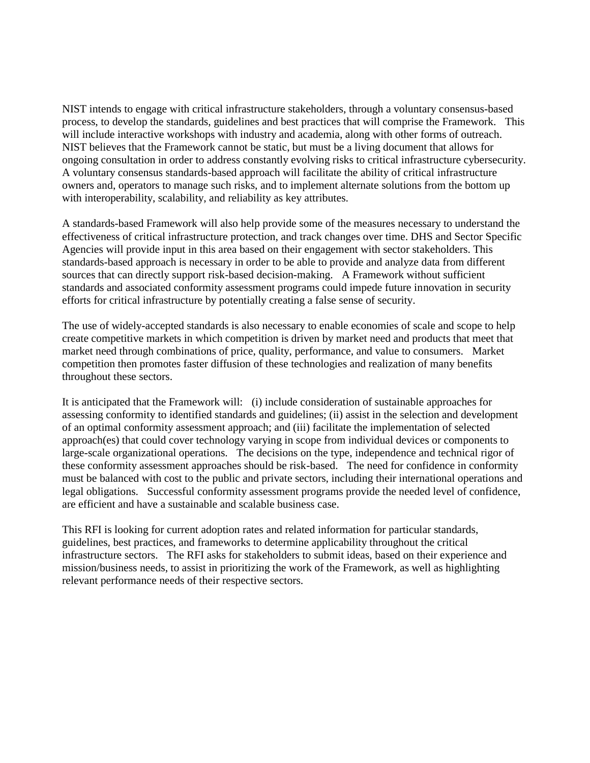NIST intends to engage with critical infrastructure stakeholders, through a voluntary consensus-based process, to develop the standards, guidelines and best practices that will comprise the Framework. This will include interactive workshops with industry and academia, along with other forms of outreach. NIST believes that the Framework cannot be static, but must be a living document that allows for ongoing consultation in order to address constantly evolving risks to critical infrastructure cybersecurity. A voluntary consensus standards-based approach will facilitate the ability of critical infrastructure owners and, operators to manage such risks, and to implement alternate solutions from the bottom up with interoperability, scalability, and reliability as key attributes.

A standards-based Framework will also help provide some of the measures necessary to understand the effectiveness of critical infrastructure protection, and track changes over time. DHS and Sector Specific Agencies will provide input in this area based on their engagement with sector stakeholders. This standards-based approach is necessary in order to be able to provide and analyze data from different sources that can directly support risk-based decision-making. A Framework without sufficient standards and associated conformity assessment programs could impede future innovation in security efforts for critical infrastructure by potentially creating a false sense of security.

The use of widely-accepted standards is also necessary to enable economies of scale and scope to help create competitive markets in which competition is driven by market need and products that meet that market need through combinations of price, quality, performance, and value to consumers. Market competition then promotes faster diffusion of these technologies and realization of many benefits throughout these sectors.

It is anticipated that the Framework will: (i) include consideration of sustainable approaches for assessing conformity to identified standards and guidelines; (ii) assist in the selection and development of an optimal conformity assessment approach; and (iii) facilitate the implementation of selected approach(es) that could cover technology varying in scope from individual devices or components to large-scale organizational operations. The decisions on the type, independence and technical rigor of these conformity assessment approaches should be risk-based. The need for confidence in conformity must be balanced with cost to the public and private sectors, including their international operations and legal obligations. Successful conformity assessment programs provide the needed level of confidence, are efficient and have a sustainable and scalable business case.

This RFI is looking for current adoption rates and related information for particular standards, guidelines, best practices, and frameworks to determine applicability throughout the critical infrastructure sectors. The RFI asks for stakeholders to submit ideas, based on their experience and mission/business needs, to assist in prioritizing the work of the Framework, as well as highlighting relevant performance needs of their respective sectors.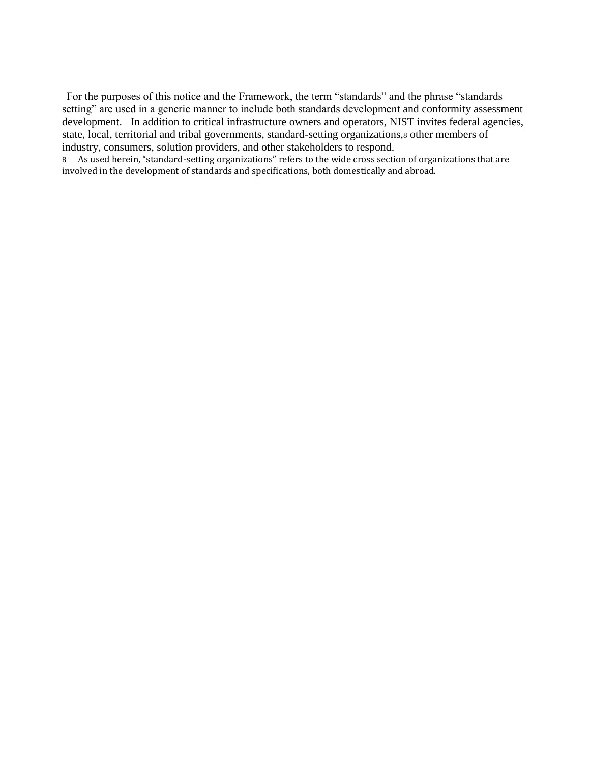For the purposes of this notice and the Framework, the term "standards" and the phrase "standards setting" are used in a generic manner to include both standards development and conformity assessment development. In addition to critical infrastructure owners and operators, NIST invites federal agencies, state, local, territorial and tribal governments, standard-setting organizations,<sup>8</sup> other members of industry, consumers, solution providers, and other stakeholders to respond.

8 As used herein, "standard-setting organizations" refers to the wide cross section of organizations that are involved in the development of standards and specifications, both domestically and abroad.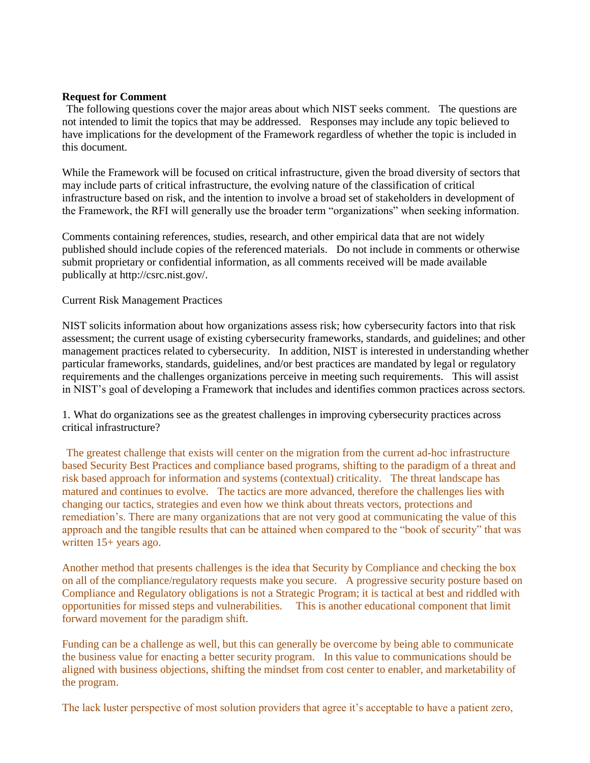### **Request for Comment**

The following questions cover the major areas about which NIST seeks comment. The questions are not intended to limit the topics that may be addressed. Responses may include any topic believed to have implications for the development of the Framework regardless of whether the topic is included in this document.

While the Framework will be focused on critical infrastructure, given the broad diversity of sectors that may include parts of critical infrastructure, the evolving nature of the classification of critical infrastructure based on risk, and the intention to involve a broad set of stakeholders in development of the Framework, the RFI will generally use the broader term "organizations" when seeking information.

Comments containing references, studies, research, and other empirical data that are not widely published should include copies of the referenced materials. Do not include in comments or otherwise submit proprietary or confidential information, as all comments received will be made available publically at http://csrc.nist.gov/.

Current Risk Management Practices

NIST solicits information about how organizations assess risk; how cybersecurity factors into that risk assessment; the current usage of existing cybersecurity frameworks, standards, and guidelines; and other management practices related to cybersecurity. In addition, NIST is interested in understanding whether particular frameworks, standards, guidelines, and/or best practices are mandated by legal or regulatory requirements and the challenges organizations perceive in meeting such requirements. This will assist in NIST's goal of developing a Framework that includes and identifies common practices across sectors.

1. What do organizations see as the greatest challenges in improving cybersecurity practices across critical infrastructure?

The greatest challenge that exists will center on the migration from the current ad-hoc infrastructure based Security Best Practices and compliance based programs, shifting to the paradigm of a threat and risk based approach for information and systems (contextual) criticality. The threat landscape has matured and continues to evolve. The tactics are more advanced, therefore the challenges lies with changing our tactics, strategies and even how we think about threats vectors, protections and remediation's. There are many organizations that are not very good at communicating the value of this approach and the tangible results that can be attained when compared to the "book of security" that was written 15+ years ago.

Another method that presents challenges is the idea that Security by Compliance and checking the box on all of the compliance/regulatory requests make you secure. A progressive security posture based on Compliance and Regulatory obligations is not a Strategic Program; it is tactical at best and riddled with opportunities for missed steps and vulnerabilities. This is another educational component that limit forward movement for the paradigm shift.

Funding can be a challenge as well, but this can generally be overcome by being able to communicate the business value for enacting a better security program. In this value to communications should be aligned with business objections, shifting the mindset from cost center to enabler, and marketability of the program.

The lack luster perspective of most solution providers that agree it's acceptable to have a patient zero,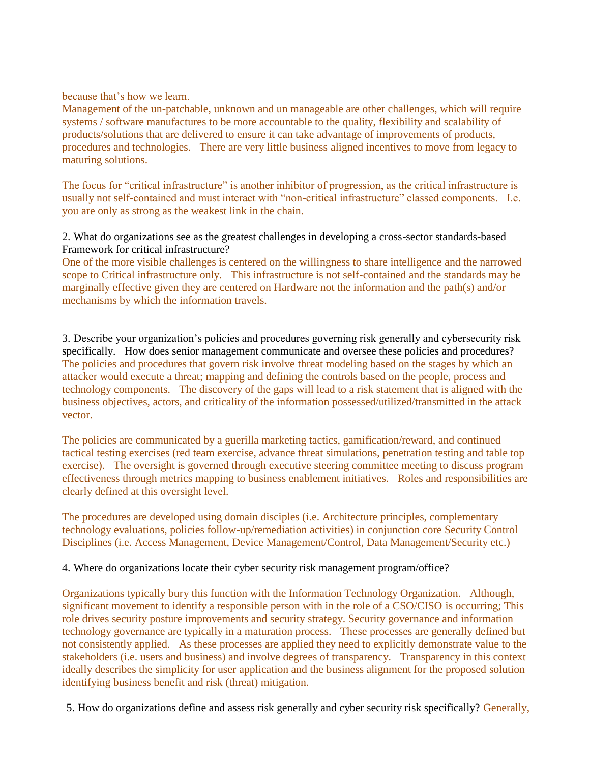because that's how we learn.

Management of the un-patchable, unknown and un manageable are other challenges, which will require systems / software manufactures to be more accountable to the quality, flexibility and scalability of products/solutions that are delivered to ensure it can take advantage of improvements of products, procedures and technologies. There are very little business aligned incentives to move from legacy to maturing solutions.

The focus for "critical infrastructure" is another inhibitor of progression, as the critical infrastructure is usually not self-contained and must interact with "non-critical infrastructure" classed components. I.e. you are only as strong as the weakest link in the chain.

2. What do organizations see as the greatest challenges in developing a cross-sector standards-based Framework for critical infrastructure?

One of the more visible challenges is centered on the willingness to share intelligence and the narrowed scope to Critical infrastructure only. This infrastructure is not self-contained and the standards may be marginally effective given they are centered on Hardware not the information and the path(s) and/or mechanisms by which the information travels.

3. Describe your organization's policies and procedures governing risk generally and cybersecurity risk specifically. How does senior management communicate and oversee these policies and procedures? The policies and procedures that govern risk involve threat modeling based on the stages by which an attacker would execute a threat; mapping and defining the controls based on the people, process and technology components. The discovery of the gaps will lead to a risk statement that is aligned with the business objectives, actors, and criticality of the information possessed/utilized/transmitted in the attack vector.

The policies are communicated by a guerilla marketing tactics, gamification/reward, and continued tactical testing exercises (red team exercise, advance threat simulations, penetration testing and table top exercise). The oversight is governed through executive steering committee meeting to discuss program effectiveness through metrics mapping to business enablement initiatives. Roles and responsibilities are clearly defined at this oversight level.

The procedures are developed using domain disciples (i.e. Architecture principles, complementary technology evaluations, policies follow-up/remediation activities) in conjunction core Security Control Disciplines (i.e. Access Management, Device Management/Control, Data Management/Security etc.)

### 4. Where do organizations locate their cyber security risk management program/office?

Organizations typically bury this function with the Information Technology Organization. Although, significant movement to identify a responsible person with in the role of a CSO/CISO is occurring; This role drives security posture improvements and security strategy. Security governance and information technology governance are typically in a maturation process. These processes are generally defined but not consistently applied. As these processes are applied they need to explicitly demonstrate value to the stakeholders (i.e. users and business) and involve degrees of transparency. Transparency in this context ideally describes the simplicity for user application and the business alignment for the proposed solution identifying business benefit and risk (threat) mitigation.

5. How do organizations define and assess risk generally and cyber security risk specifically? Generally,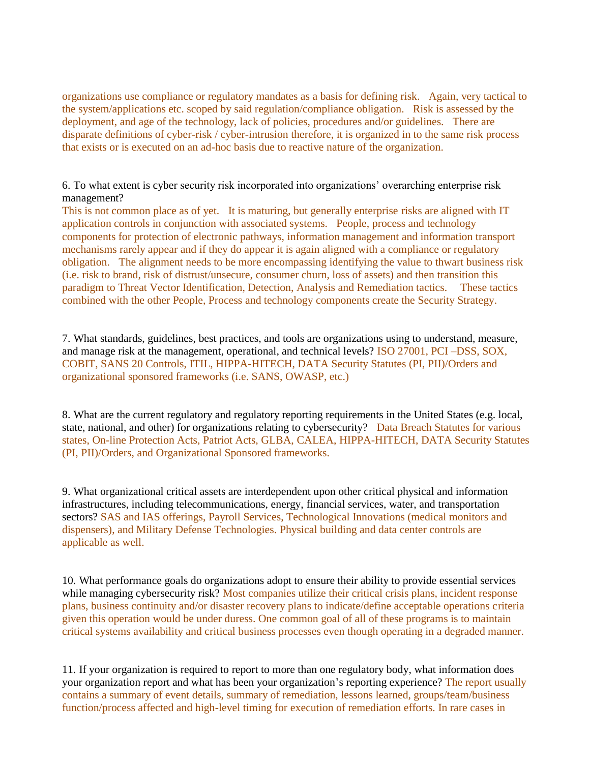organizations use compliance or regulatory mandates as a basis for defining risk. Again, very tactical to the system/applications etc. scoped by said regulation/compliance obligation. Risk is assessed by the deployment, and age of the technology, lack of policies, procedures and/or guidelines. There are disparate definitions of cyber-risk / cyber-intrusion therefore, it is organized in to the same risk process that exists or is executed on an ad-hoc basis due to reactive nature of the organization.

6. To what extent is cyber security risk incorporated into organizations' overarching enterprise risk management?

This is not common place as of yet. It is maturing, but generally enterprise risks are aligned with IT application controls in conjunction with associated systems. People, process and technology components for protection of electronic pathways, information management and information transport mechanisms rarely appear and if they do appear it is again aligned with a compliance or regulatory obligation. The alignment needs to be more encompassing identifying the value to thwart business risk (i.e. risk to brand, risk of distrust/unsecure, consumer churn, loss of assets) and then transition this paradigm to Threat Vector Identification, Detection, Analysis and Remediation tactics. These tactics combined with the other People, Process and technology components create the Security Strategy.

7. What standards, guidelines, best practices, and tools are organizations using to understand, measure, and manage risk at the management, operational, and technical levels? ISO 27001, PCI –DSS, SOX, COBIT, SANS 20 Controls, ITIL, HIPPA-HITECH, DATA Security Statutes (PI, PII)/Orders and organizational sponsored frameworks (i.e. SANS, OWASP, etc.)

8. What are the current regulatory and regulatory reporting requirements in the United States (e.g. local, state, national, and other) for organizations relating to cybersecurity? Data Breach Statutes for various states, On-line Protection Acts, Patriot Acts, GLBA, CALEA, HIPPA-HITECH, DATA Security Statutes (PI, PII)/Orders, and Organizational Sponsored frameworks.

9. What organizational critical assets are interdependent upon other critical physical and information infrastructures, including telecommunications, energy, financial services, water, and transportation sectors? SAS and IAS offerings, Payroll Services, Technological Innovations (medical monitors and dispensers), and Military Defense Technologies. Physical building and data center controls are applicable as well.

10. What performance goals do organizations adopt to ensure their ability to provide essential services while managing cybersecurity risk? Most companies utilize their critical crisis plans, incident response plans, business continuity and/or disaster recovery plans to indicate/define acceptable operations criteria given this operation would be under duress. One common goal of all of these programs is to maintain critical systems availability and critical business processes even though operating in a degraded manner.

11. If your organization is required to report to more than one regulatory body, what information does your organization report and what has been your organization's reporting experience? The report usually contains a summary of event details, summary of remediation, lessons learned, groups/team/business function/process affected and high-level timing for execution of remediation efforts. In rare cases in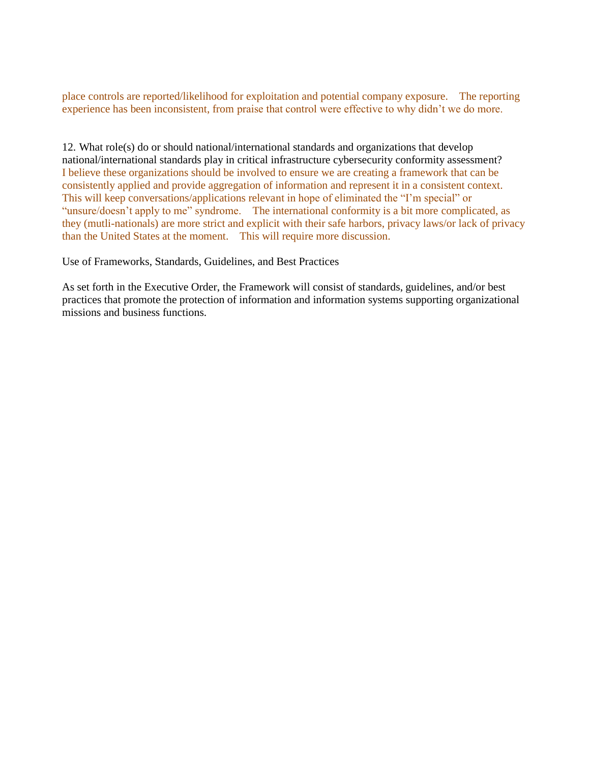place controls are reported/likelihood for exploitation and potential company exposure. The reporting experience has been inconsistent, from praise that control were effective to why didn't we do more.

12. What role(s) do or should national/international standards and organizations that develop national/international standards play in critical infrastructure cybersecurity conformity assessment? I believe these organizations should be involved to ensure we are creating a framework that can be consistently applied and provide aggregation of information and represent it in a consistent context. This will keep conversations/applications relevant in hope of eliminated the "I'm special" or "unsure/doesn't apply to me" syndrome. The international conformity is a bit more complicated, as they (mutli-nationals) are more strict and explicit with their safe harbors, privacy laws/or lack of privacy than the United States at the moment. This will require more discussion.

Use of Frameworks, Standards, Guidelines, and Best Practices

As set forth in the Executive Order, the Framework will consist of standards, guidelines, and/or best practices that promote the protection of information and information systems supporting organizational missions and business functions.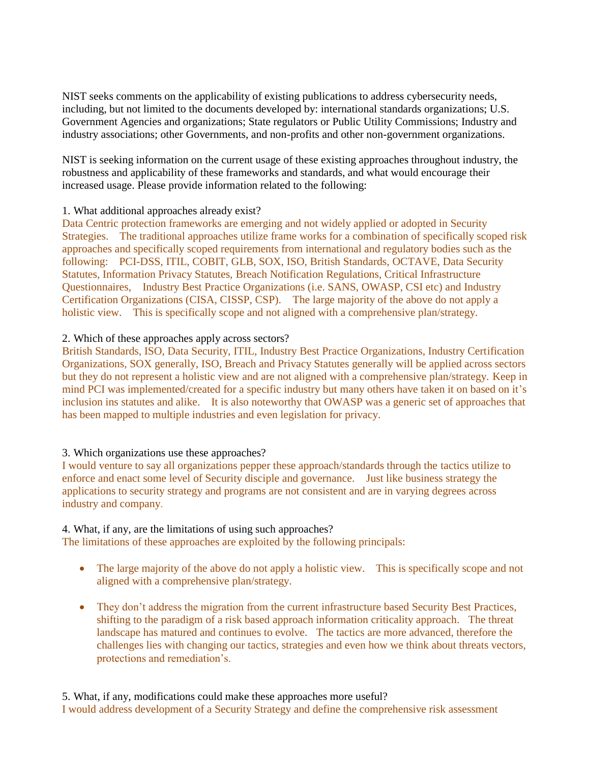NIST seeks comments on the applicability of existing publications to address cybersecurity needs, including, but not limited to the documents developed by: international standards organizations; U.S. Government Agencies and organizations; State regulators or Public Utility Commissions; Industry and industry associations; other Governments, and non-profits and other non-government organizations.

NIST is seeking information on the current usage of these existing approaches throughout industry, the robustness and applicability of these frameworks and standards, and what would encourage their increased usage. Please provide information related to the following:

# 1. What additional approaches already exist?

Data Centric protection frameworks are emerging and not widely applied or adopted in Security Strategies. The traditional approaches utilize frame works for a combination of specifically scoped risk approaches and specifically scoped requirements from international and regulatory bodies such as the following: PCI-DSS, ITIL, COBIT, GLB, SOX, ISO, British Standards, OCTAVE, Data Security Statutes, Information Privacy Statutes, Breach Notification Regulations, Critical Infrastructure Questionnaires, Industry Best Practice Organizations (i.e. SANS, OWASP, CSI etc) and Industry Certification Organizations (CISA, CISSP, CSP). The large majority of the above do not apply a holistic view. This is specifically scope and not aligned with a comprehensive plan/strategy.

### 2. Which of these approaches apply across sectors?

British Standards, ISO, Data Security, ITIL, Industry Best Practice Organizations, Industry Certification Organizations, SOX generally, ISO, Breach and Privacy Statutes generally will be applied across sectors but they do not represent a holistic view and are not aligned with a comprehensive plan/strategy. Keep in mind PCI was implemented/created for a specific industry but many others have taken it on based on it's inclusion ins statutes and alike. It is also noteworthy that OWASP was a generic set of approaches that has been mapped to multiple industries and even legislation for privacy.

# 3. Which organizations use these approaches?

I would venture to say all organizations pepper these approach/standards through the tactics utilize to enforce and enact some level of Security disciple and governance. Just like business strategy the applications to security strategy and programs are not consistent and are in varying degrees across industry and company.

# 4. What, if any, are the limitations of using such approaches?

The limitations of these approaches are exploited by the following principals:

- The large majority of the above do not apply a holistic view. This is specifically scope and not aligned with a comprehensive plan/strategy.
- They don't address the migration from the current infrastructure based Security Best Practices, shifting to the paradigm of a risk based approach information criticality approach. The threat landscape has matured and continues to evolve. The tactics are more advanced, therefore the challenges lies with changing our tactics, strategies and even how we think about threats vectors, protections and remediation's.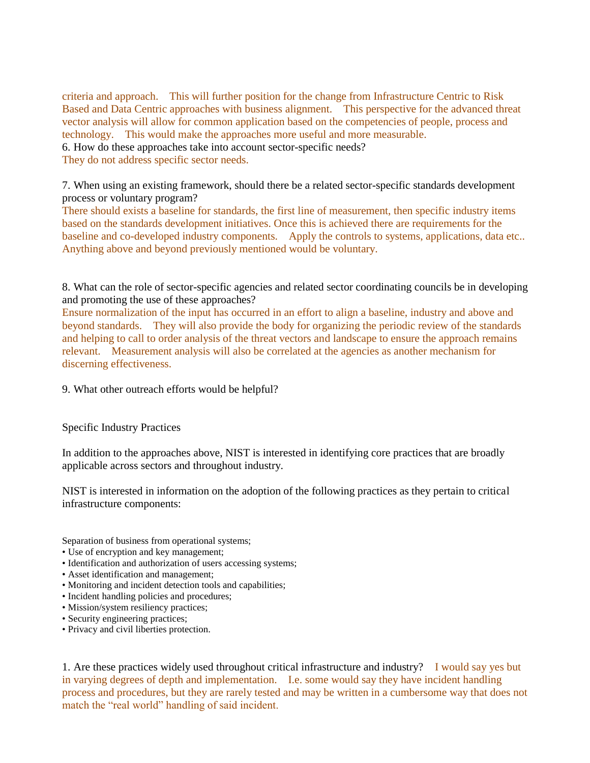criteria and approach. This will further position for the change from Infrastructure Centric to Risk Based and Data Centric approaches with business alignment. This perspective for the advanced threat vector analysis will allow for common application based on the competencies of people, process and technology. This would make the approaches more useful and more measurable.

6. How do these approaches take into account sector-specific needs?

They do not address specific sector needs.

7. When using an existing framework, should there be a related sector-specific standards development process or voluntary program?

There should exists a baseline for standards, the first line of measurement, then specific industry items based on the standards development initiatives. Once this is achieved there are requirements for the baseline and co-developed industry components. Apply the controls to systems, applications, data etc.. Anything above and beyond previously mentioned would be voluntary.

8. What can the role of sector-specific agencies and related sector coordinating councils be in developing and promoting the use of these approaches?

Ensure normalization of the input has occurred in an effort to align a baseline, industry and above and beyond standards. They will also provide the body for organizing the periodic review of the standards and helping to call to order analysis of the threat vectors and landscape to ensure the approach remains relevant. Measurement analysis will also be correlated at the agencies as another mechanism for discerning effectiveness.

9. What other outreach efforts would be helpful?

Specific Industry Practices

In addition to the approaches above, NIST is interested in identifying core practices that are broadly applicable across sectors and throughout industry.

NIST is interested in information on the adoption of the following practices as they pertain to critical infrastructure components:

Separation of business from operational systems;

- Use of encryption and key management;
- Identification and authorization of users accessing systems;
- Asset identification and management;
- Monitoring and incident detection tools and capabilities;
- Incident handling policies and procedures;
- Mission/system resiliency practices;
- Security engineering practices;
- Privacy and civil liberties protection.

1. Are these practices widely used throughout critical infrastructure and industry? I would say yes but in varying degrees of depth and implementation. I.e. some would say they have incident handling process and procedures, but they are rarely tested and may be written in a cumbersome way that does not match the "real world" handling of said incident.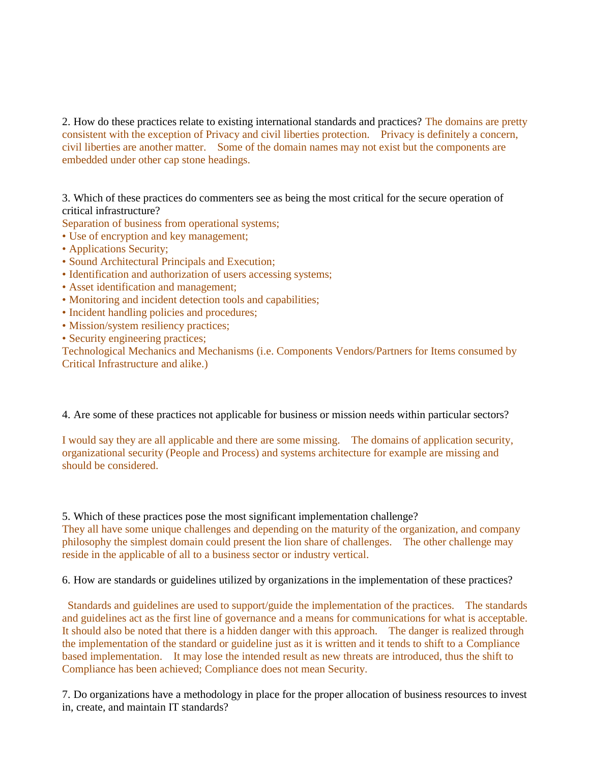2. How do these practices relate to existing international standards and practices? The domains are pretty consistent with the exception of Privacy and civil liberties protection. Privacy is definitely a concern, civil liberties are another matter. Some of the domain names may not exist but the components are embedded under other cap stone headings.

3. Which of these practices do commenters see as being the most critical for the secure operation of critical infrastructure?

Separation of business from operational systems;

- Use of encryption and key management;
- Applications Security;
- Sound Architectural Principals and Execution;
- Identification and authorization of users accessing systems;
- Asset identification and management;
- Monitoring and incident detection tools and capabilities;
- Incident handling policies and procedures;
- Mission/system resiliency practices;
- Security engineering practices;

Technological Mechanics and Mechanisms (i.e. Components Vendors/Partners for Items consumed by Critical Infrastructure and alike.)

### 4. Are some of these practices not applicable for business or mission needs within particular sectors?

I would say they are all applicable and there are some missing. The domains of application security, organizational security (People and Process) and systems architecture for example are missing and should be considered.

5. Which of these practices pose the most significant implementation challenge? They all have some unique challenges and depending on the maturity of the organization, and company philosophy the simplest domain could present the lion share of challenges. The other challenge may reside in the applicable of all to a business sector or industry vertical.

6. How are standards or guidelines utilized by organizations in the implementation of these practices?

Standards and guidelines are used to support/guide the implementation of the practices. The standards and guidelines act as the first line of governance and a means for communications for what is acceptable. It should also be noted that there is a hidden danger with this approach. The danger is realized through the implementation of the standard or guideline just as it is written and it tends to shift to a Compliance based implementation. It may lose the intended result as new threats are introduced, thus the shift to Compliance has been achieved; Compliance does not mean Security.

7. Do organizations have a methodology in place for the proper allocation of business resources to invest in, create, and maintain IT standards?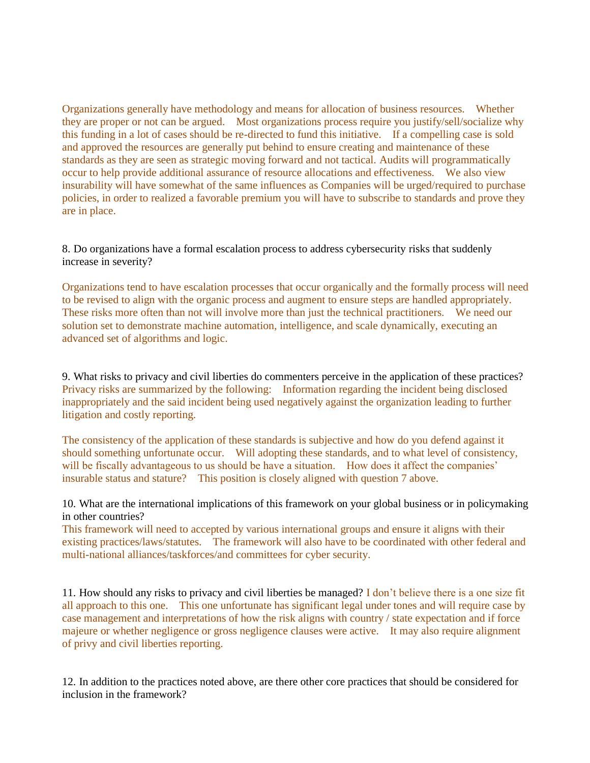Organizations generally have methodology and means for allocation of business resources. Whether they are proper or not can be argued. Most organizations process require you justify/sell/socialize why this funding in a lot of cases should be re-directed to fund this initiative. If a compelling case is sold and approved the resources are generally put behind to ensure creating and maintenance of these standards as they are seen as strategic moving forward and not tactical. Audits will programmatically occur to help provide additional assurance of resource allocations and effectiveness. We also view insurability will have somewhat of the same influences as Companies will be urged/required to purchase policies, in order to realized a favorable premium you will have to subscribe to standards and prove they are in place.

8. Do organizations have a formal escalation process to address cybersecurity risks that suddenly increase in severity?

Organizations tend to have escalation processes that occur organically and the formally process will need to be revised to align with the organic process and augment to ensure steps are handled appropriately. These risks more often than not will involve more than just the technical practitioners. We need our solution set to demonstrate machine automation, intelligence, and scale dynamically, executing an advanced set of algorithms and logic.

9. What risks to privacy and civil liberties do commenters perceive in the application of these practices? Privacy risks are summarized by the following: Information regarding the incident being disclosed inappropriately and the said incident being used negatively against the organization leading to further litigation and costly reporting.

The consistency of the application of these standards is subjective and how do you defend against it should something unfortunate occur. Will adopting these standards, and to what level of consistency, will be fiscally advantageous to us should be have a situation. How does it affect the companies' insurable status and stature? This position is closely aligned with question 7 above.

10. What are the international implications of this framework on your global business or in policymaking in other countries?

This framework will need to accepted by various international groups and ensure it aligns with their existing practices/laws/statutes. The framework will also have to be coordinated with other federal and multi-national alliances/taskforces/and committees for cyber security.

11. How should any risks to privacy and civil liberties be managed? I don't believe there is a one size fit all approach to this one. This one unfortunate has significant legal under tones and will require case by case management and interpretations of how the risk aligns with country / state expectation and if force majeure or whether negligence or gross negligence clauses were active. It may also require alignment of privy and civil liberties reporting.

12. In addition to the practices noted above, are there other core practices that should be considered for inclusion in the framework?